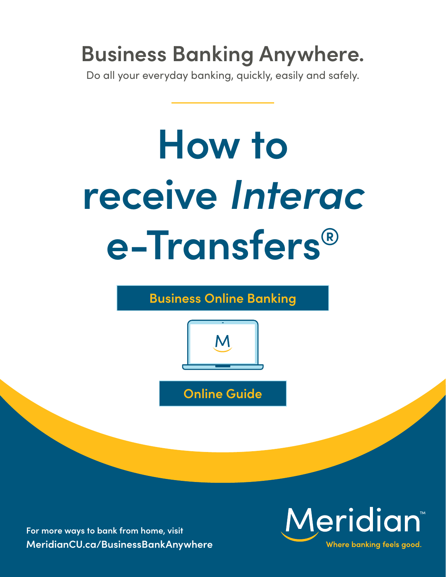## **Business Banking Anywhere.**

Do all your everyday banking, quickly, easily and safely.

# **How to receive** *Interac* **e-Transfers®**

**Business Online Banking**



**Online Guide**

**For more ways to bank from home, visit [MeridianCU.ca/BusinessBankAnywhere](http://MeridianCU.ca/BusinessBankAnywhere)**

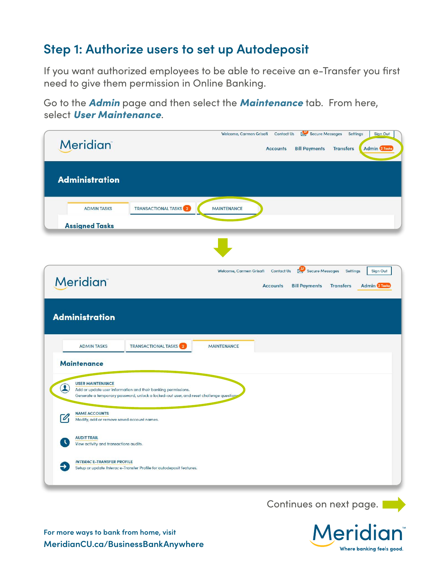#### **Step 1: Authorize users to set up Autodeposit**

If you want authorized employees to be able to receive an e-Transfer you first need to give them permission in Online Banking.

Go to the *Admin* page and then select the *Maintenance* tab. From here, select *User Maintenance*.

| <b>Meridian</b>                                                                                                                                        | Secure Messages<br>Welcome, Carmen Grisafi<br><b>Contact Us</b><br><b>Settings</b><br>Sign Out<br><b>Admin</b> 2 Tasks<br><b>Accounts</b><br><b>Bill Payments</b><br><b>Transfers</b> |
|--------------------------------------------------------------------------------------------------------------------------------------------------------|---------------------------------------------------------------------------------------------------------------------------------------------------------------------------------------|
| <b>Administration</b>                                                                                                                                  |                                                                                                                                                                                       |
| <b>ADMIN TASKS</b><br><b>Assigned Tasks</b>                                                                                                            | <b>TRANSACTIONAL TASKS</b> <sup>2</sup><br><b>MAINTENANCE</b>                                                                                                                         |
|                                                                                                                                                        |                                                                                                                                                                                       |
| <b>Meridian</b>                                                                                                                                        | Secure Messages<br>Welcome, Carmen Grisafi<br><b>Contact Us</b><br><b>Settings</b><br>Sign Out<br><b>Bill Payments</b><br><b>Admin</b> 2 Tasks<br><b>Accounts</b><br><b>Transfers</b> |
| <b>Administration</b>                                                                                                                                  |                                                                                                                                                                                       |
| <b>ADMIN TASKS</b>                                                                                                                                     | <b>TRANSACTIONAL TASKS</b> <sup>2</sup><br><b>MAINTENANCE</b>                                                                                                                         |
| <b>Maintenance</b><br><b>USER MAINTENANCE</b><br>$\left( \mathbf{2}\right)$<br><b>NAME ACCOUNTS</b><br>V<br>Modify, add or remove saved account names. | Add or update user information and their banking permissions.<br>Generate a temporary password, unlock a locked-out user, and reset challenge questions                               |
| <b>AUDIT TRAIL</b><br>View activity and transactions audits.                                                                                           |                                                                                                                                                                                       |
| <b>INTERACE-TRANSFER PROFILE</b>                                                                                                                       | Setup or update Interac e-Transfer Profile for autodeposit features.                                                                                                                  |
|                                                                                                                                                        | Continues on next page.                                                                                                                                                               |

Meridi

Where banking feels good.

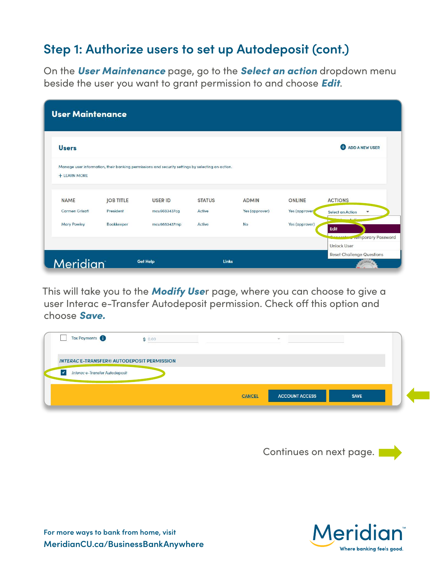#### **Step 1: Authorize users to set up Autodeposit (cont.)**

On the *User Maintenance* page, go to the *Select an action* dropdown menu beside the user you want to grant permission to and choose *Edit*.

| <b>User Maintenance</b> |                  |                                                                                                  |               |                |                |                                                       |
|-------------------------|------------------|--------------------------------------------------------------------------------------------------|---------------|----------------|----------------|-------------------------------------------------------|
| <b>Users</b>            |                  |                                                                                                  |               |                |                | <b>ADD A NEW USER</b>                                 |
| + LEARN MORE            |                  | Manage user information, their banking permissions and security settings by selecting an action. |               |                |                |                                                       |
| <b>NAME</b>             | <b>JOB TITLE</b> | <b>USER ID</b>                                                                                   | <b>STATUS</b> | <b>ADMIN</b>   | <b>ONLINE</b>  | <b>ACTIONS</b>                                        |
| Carmen Grisafi          | President        | mcu6683437cq                                                                                     | Active        | Yes (approver) | Yes (approver) | Select an Action<br>$\mathbf{v}$                      |
| <b>Mary Powley</b>      | Bookkeeper       | mcu6683437mp                                                                                     | Active        | No             | Yes (approver) | Edit<br><u>Connect</u><br><b>A</b> remporary Password |
|                         |                  |                                                                                                  |               |                |                | <b>Unlock User</b>                                    |
| <b>Meridian</b>         |                  | <b>Get Help</b>                                                                                  | <b>Links</b>  |                |                | <b>Reset Challenge Questions</b>                      |

This will take you to the *Modify Use*r page, where you can choose to give a user Interac e-Transfer Autodeposit permission. Check off this option and choose *Save.*

| Tax Payments                                     | \$0.00 |               | $\sim$                |             |  |
|--------------------------------------------------|--------|---------------|-----------------------|-------------|--|
| <b>INTERACE-TRANSFER® AUTODEPOSIT PERMISSION</b> |        |               |                       |             |  |
| Interac e-Transfer Autodeposit<br>$\overline{ }$ |        |               |                       |             |  |
|                                                  |        | <b>CANCEL</b> | <b>ACCOUNT ACCESS</b> | <b>SAVE</b> |  |

Continues on next page.

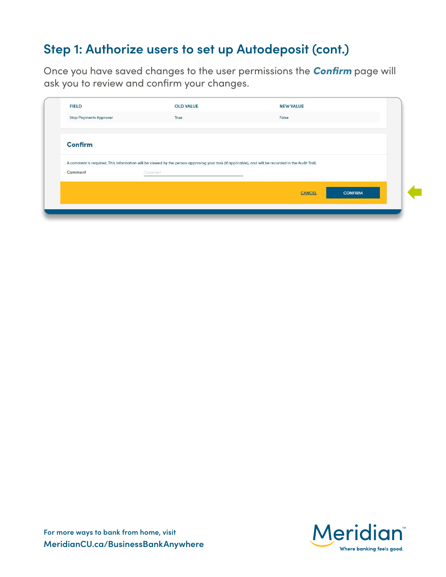### **Step 1: Authorize users to set up Autodeposit (cont.)**

Once you have saved changes to the user permissions the *Confirm* page will ask you to review and confirm your changes.

| <b>FIELD</b>                  | <b>OLD VALUE</b>                                                                                                                                   | <b>NEW VALUE</b> |                |
|-------------------------------|----------------------------------------------------------------------------------------------------------------------------------------------------|------------------|----------------|
| <b>Stop Payments Approver</b> | True                                                                                                                                               | False            |                |
| <b>Confirm</b>                |                                                                                                                                                    |                  |                |
|                               | A comment is required. This information will be viewed by the person approving your task (if applicable), and will be recorded in the Audit Trail. |                  |                |
|                               |                                                                                                                                                    |                  |                |
| Comment                       | Comment                                                                                                                                            |                  |                |
|                               |                                                                                                                                                    | CANCEL           | <b>CONFIRM</b> |

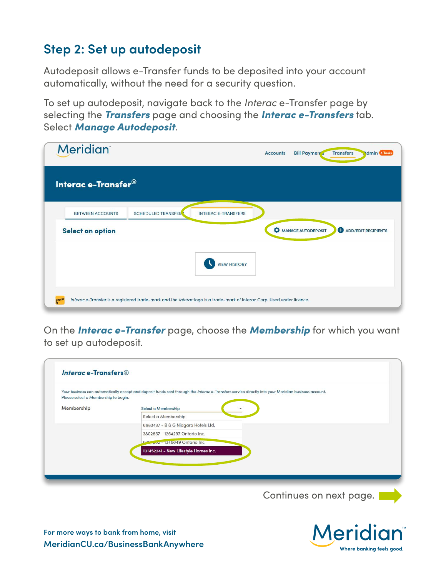### **Step 2: Set up autodeposit**

Autodeposit allows e-Transfer funds to be deposited into your account automatically, without the need for a security question.

To set up autodeposit, navigate back to the *Interac* e-Transfer page by selecting the *Transfers* page and choosing the *Interac e-Transfers* tab. Select *Manage Autodeposit*.

| <b>Meridian</b>                                                                                                         | <b>Accounts</b>            | <b>Bill Paymen's</b> | <b>Transfers</b><br>dmin 4 Tasks |
|-------------------------------------------------------------------------------------------------------------------------|----------------------------|----------------------|----------------------------------|
| Interac e-Transfer <sup>®</sup>                                                                                         |                            |                      |                                  |
| <b>BETWEEN ACCOUNTS</b><br><b>SCHEDULED TRANSFER</b>                                                                    | <b>INTERAC E-TRANSFERS</b> |                      |                                  |
| Select an option                                                                                                        |                            | MANAGE AUTODEPOSIT   | ADD/EDIT RECIPIENTS              |
|                                                                                                                         | <b>VIEW HISTORY</b>        |                      |                                  |
| Interac e-Transfer is a registered trade-mark and the Interac logo is a trade-mark of Interac Corp. Used under licence. |                            |                      |                                  |

On the *Interac e-Transfer* page, choose the *Membership* for which you want to set up autodeposit.

|                                      | Your business can automatically accept and deposit funds sent through the Interace-Transfers service directly into your Meridian business account. |
|--------------------------------------|----------------------------------------------------------------------------------------------------------------------------------------------------|
| Please select a Membership to begin. |                                                                                                                                                    |
| Membership                           | Select a Membership                                                                                                                                |
|                                      | Select a Membership                                                                                                                                |
|                                      | 6683437 - B & G Niagara Hotels Ltd.                                                                                                                |
|                                      | 3802857 - 1264297 Ontario Inc.                                                                                                                     |
|                                      | 625 July - 1346649 Ontario Inc                                                                                                                     |
|                                      | 101452241 - New Lifestyle Homes Inc.                                                                                                               |
|                                      |                                                                                                                                                    |

Continues on next page.



**For more ways to bank from home, visit MeridianCU.ca/BusinessBankAnywhere**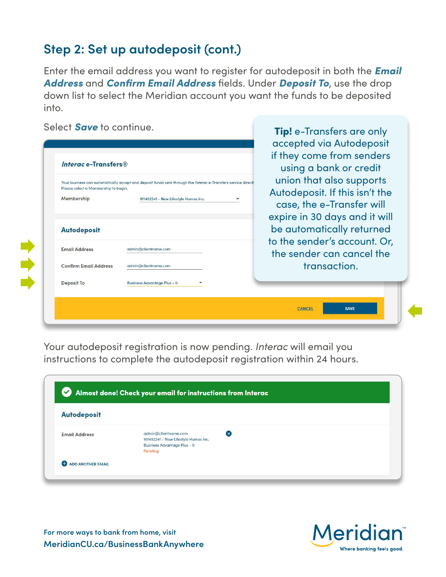### **Step 2: Set up autodeposit (cont.)**

Enter the email address you want to register for autodeposit in both the *Email Address* and *Confirm Email Address* fields. Under *Deposit To*, use the drop down list to select the Meridian account you want the funds to be deposited into.

| Select <b>Save</b> to continue.                                                                                                                                                                             | <b>Tip!</b> e-Transfers are only<br>accepted via Autodeposit                                                             |
|-------------------------------------------------------------------------------------------------------------------------------------------------------------------------------------------------------------|--------------------------------------------------------------------------------------------------------------------------|
| Interac e-Transfers®                                                                                                                                                                                        | if they come from senders<br>using a bank or credit                                                                      |
| Your business can automatically accept and deposit funds sent through the Interac e-Transfers service directl<br>Please select a Membership to begin.<br>Membership<br>101452241 - New Lifestyle Homes Inc. | union that also supports<br>Autodeposit. If this isn't the<br>case, the e-Transfer will<br>expire in 30 days and it will |
| <b>Autodeposit</b>                                                                                                                                                                                          | be automatically returned                                                                                                |
| <b>Email Address</b><br>admin@clientname.com                                                                                                                                                                | to the sender's account. Or,<br>the sender can cancel the                                                                |
| <b>Confirm Email Address</b><br>admin@clientname.com                                                                                                                                                        | transaction.                                                                                                             |
| <b>Deposit To</b><br><b>Business Advantage Plus - 0</b>                                                                                                                                                     |                                                                                                                          |
|                                                                                                                                                                                                             | <b>SAVE</b><br><b>CANCEL</b>                                                                                             |

Your autodeposit registration is now pending. *Interac* will email you instructions to complete the autodeposit registration within 24 hours.

| <b>Autodeposit</b>   |                                                                                                    |            |  |
|----------------------|----------------------------------------------------------------------------------------------------|------------|--|
| <b>Email Address</b> | admin@clientname.com<br>101452241 - New Lifestyle Homes Inc.<br><b>Business Advantage Plus - 0</b> | $(\times)$ |  |

**For more ways to bank from home, visit MeridianCU.ca/BusinessBankAnywhere**

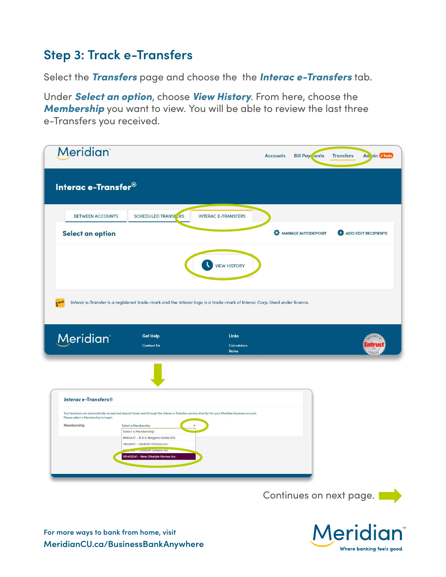#### **Step 3: Track e-Transfers**

Select the *Transfers* page and choose the the *Interac e-Transfers* tab.

Under *Select an option*, choose *View History*. From here, choose the *Membership* you want to view. You will be able to review the last three e-Transfers you received.

| Interac e-Transfer®<br><b>SCHEDULED TRANSE ERS</b><br><b>BETWEEN ACCOUNTS</b><br><b>INTERAC E-TRANSFERS</b><br>Select an option<br><b>VIEW HISTORY</b><br>Interac e-Transfer is a registered trade-mark and the Interac logo is a trade-mark of Interac Corp. Used under licence.<br><b>Meridian</b><br><b>Get Help</b><br><b>Links</b><br><b>Contact Us</b><br><b>Calculators</b><br><b>Rates</b><br><b>Interace-Transfers®</b><br>Your business can automatically accept and deposit funds sent through the Interac e-Transfers service directly into your Meridian business account.<br>Please select a Membership to begin.<br>Membership<br>Select a Membership<br>Select a Membership<br>6683437 - B & G Niagara Hotels Ltd.<br>3802857 - 1264297 Ontario Inc.<br>Juz - 1346649 Ontario Inc<br>101452241 - New Lifestyle Homes Inc. | <b>Bill Payr</b> jents | <b>Transfers</b><br>Adi in 4 Tasks |
|-------------------------------------------------------------------------------------------------------------------------------------------------------------------------------------------------------------------------------------------------------------------------------------------------------------------------------------------------------------------------------------------------------------------------------------------------------------------------------------------------------------------------------------------------------------------------------------------------------------------------------------------------------------------------------------------------------------------------------------------------------------------------------------------------------------------------------------------|------------------------|------------------------------------|
|                                                                                                                                                                                                                                                                                                                                                                                                                                                                                                                                                                                                                                                                                                                                                                                                                                           |                        |                                    |
|                                                                                                                                                                                                                                                                                                                                                                                                                                                                                                                                                                                                                                                                                                                                                                                                                                           |                        |                                    |
|                                                                                                                                                                                                                                                                                                                                                                                                                                                                                                                                                                                                                                                                                                                                                                                                                                           | MANAGE AUTODEPOSIT     | ADD/EDIT RECIPIENTS                |
|                                                                                                                                                                                                                                                                                                                                                                                                                                                                                                                                                                                                                                                                                                                                                                                                                                           |                        |                                    |
|                                                                                                                                                                                                                                                                                                                                                                                                                                                                                                                                                                                                                                                                                                                                                                                                                                           |                        |                                    |
|                                                                                                                                                                                                                                                                                                                                                                                                                                                                                                                                                                                                                                                                                                                                                                                                                                           |                        |                                    |
|                                                                                                                                                                                                                                                                                                                                                                                                                                                                                                                                                                                                                                                                                                                                                                                                                                           |                        |                                    |
|                                                                                                                                                                                                                                                                                                                                                                                                                                                                                                                                                                                                                                                                                                                                                                                                                                           |                        |                                    |
|                                                                                                                                                                                                                                                                                                                                                                                                                                                                                                                                                                                                                                                                                                                                                                                                                                           |                        |                                    |
|                                                                                                                                                                                                                                                                                                                                                                                                                                                                                                                                                                                                                                                                                                                                                                                                                                           |                        |                                    |
|                                                                                                                                                                                                                                                                                                                                                                                                                                                                                                                                                                                                                                                                                                                                                                                                                                           |                        |                                    |
|                                                                                                                                                                                                                                                                                                                                                                                                                                                                                                                                                                                                                                                                                                                                                                                                                                           |                        |                                    |
|                                                                                                                                                                                                                                                                                                                                                                                                                                                                                                                                                                                                                                                                                                                                                                                                                                           |                        |                                    |
|                                                                                                                                                                                                                                                                                                                                                                                                                                                                                                                                                                                                                                                                                                                                                                                                                                           |                        |                                    |
|                                                                                                                                                                                                                                                                                                                                                                                                                                                                                                                                                                                                                                                                                                                                                                                                                                           |                        | Continues on next page.            |